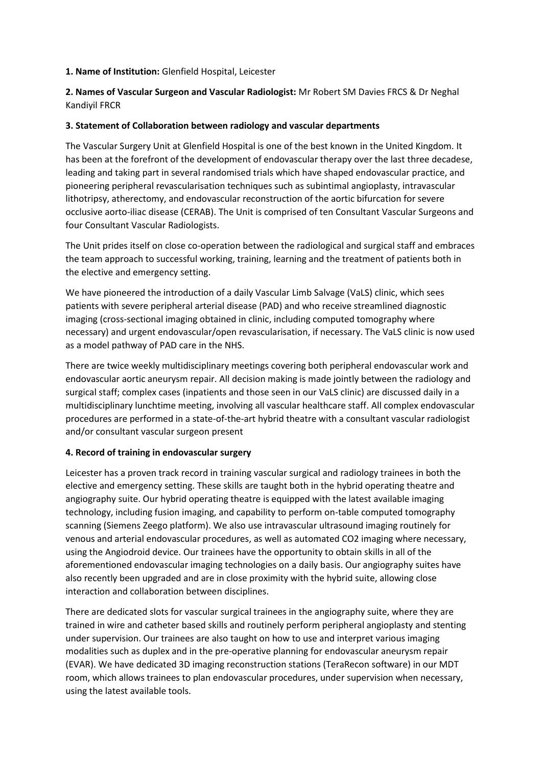## **1. Name of Institution:** Glenfield Hospital, Leicester

**2. Names of Vascular Surgeon and Vascular Radiologist:** Mr Robert SM Davies FRCS & Dr Neghal Kandiyil FRCR

#### **3. Statement of Collaboration between radiology and vascular departments**

The Vascular Surgery Unit at Glenfield Hospital is one of the best known in the United Kingdom. It has been at the forefront of the development of endovascular therapy over the last three decadese, leading and taking part in several randomised trials which have shaped endovascular practice, and pioneering peripheral revascularisation techniques such as subintimal angioplasty, intravascular lithotripsy, atherectomy, and endovascular reconstruction of the aortic bifurcation for severe occlusive aorto-iliac disease (CERAB). The Unit is comprised of ten Consultant Vascular Surgeons and four Consultant Vascular Radiologists.

The Unit prides itself on close co-operation between the radiological and surgical staff and embraces the team approach to successful working, training, learning and the treatment of patients both in the elective and emergency setting.

We have pioneered the introduction of a daily Vascular Limb Salvage (VaLS) clinic, which sees patients with severe peripheral arterial disease (PAD) and who receive streamlined diagnostic imaging (cross-sectional imaging obtained in clinic, including computed tomography where necessary) and urgent endovascular/open revascularisation, if necessary. The VaLS clinic is now used as a model pathway of PAD care in the NHS.

There are twice weekly multidisciplinary meetings covering both peripheral endovascular work and endovascular aortic aneurysm repair. All decision making is made jointly between the radiology and surgical staff; complex cases (inpatients and those seen in our VaLS clinic) are discussed daily in a multidisciplinary lunchtime meeting, involving all vascular healthcare staff. All complex endovascular procedures are performed in a state-of-the-art hybrid theatre with a consultant vascular radiologist and/or consultant vascular surgeon present

# **4. Record of training in endovascular surgery**

Leicester has a proven track record in training vascular surgical and radiology trainees in both the elective and emergency setting. These skills are taught both in the hybrid operating theatre and angiography suite. Our hybrid operating theatre is equipped with the latest available imaging technology, including fusion imaging, and capability to perform on-table computed tomography scanning (Siemens Zeego platform). We also use intravascular ultrasound imaging routinely for venous and arterial endovascular procedures, as well as automated CO2 imaging where necessary, using the Angiodroid device. Our trainees have the opportunity to obtain skills in all of the aforementioned endovascular imaging technologies on a daily basis. Our angiography suites have also recently been upgraded and are in close proximity with the hybrid suite, allowing close interaction and collaboration between disciplines.

There are dedicated slots for vascular surgical trainees in the angiography suite, where they are trained in wire and catheter based skills and routinely perform peripheral angioplasty and stenting under supervision. Our trainees are also taught on how to use and interpret various imaging modalities such as duplex and in the pre-operative planning for endovascular aneurysm repair (EVAR). We have dedicated 3D imaging reconstruction stations (TeraRecon software) in our MDT room, which allows trainees to plan endovascular procedures, under supervision when necessary, using the latest available tools.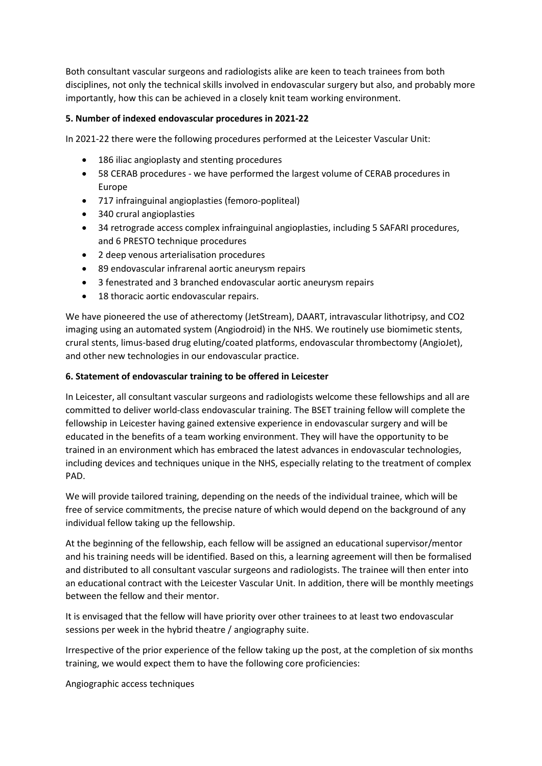Both consultant vascular surgeons and radiologists alike are keen to teach trainees from both disciplines, not only the technical skills involved in endovascular surgery but also, and probably more importantly, how this can be achieved in a closely knit team working environment.

## **5. Number of indexed endovascular procedures in 2021-22**

In 2021-22 there were the following procedures performed at the Leicester Vascular Unit:

- 186 iliac angioplasty and stenting procedures
- 58 CERAB procedures we have performed the largest volume of CERAB procedures in Europe
- 717 infrainguinal angioplasties (femoro-popliteal)
- 340 crural angioplasties
- 34 retrograde access complex infrainguinal angioplasties, including 5 SAFARI procedures, and 6 PRESTO technique procedures
- 2 deep venous arterialisation procedures
- 89 endovascular infrarenal aortic aneurysm repairs
- 3 fenestrated and 3 branched endovascular aortic aneurysm repairs
- 18 thoracic aortic endovascular repairs.

We have pioneered the use of atherectomy (JetStream), DAART, intravascular lithotripsy, and CO2 imaging using an automated system (Angiodroid) in the NHS. We routinely use biomimetic stents, crural stents, limus-based drug eluting/coated platforms, endovascular thrombectomy (AngioJet), and other new technologies in our endovascular practice.

## **6. Statement of endovascular training to be offered in Leicester**

In Leicester, all consultant vascular surgeons and radiologists welcome these fellowships and all are committed to deliver world-class endovascular training. The BSET training fellow will complete the fellowship in Leicester having gained extensive experience in endovascular surgery and will be educated in the benefits of a team working environment. They will have the opportunity to be trained in an environment which has embraced the latest advances in endovascular technologies, including devices and techniques unique in the NHS, especially relating to the treatment of complex PAD.

We will provide tailored training, depending on the needs of the individual trainee, which will be free of service commitments, the precise nature of which would depend on the background of any individual fellow taking up the fellowship.

At the beginning of the fellowship, each fellow will be assigned an educational supervisor/mentor and his training needs will be identified. Based on this, a learning agreement will then be formalised and distributed to all consultant vascular surgeons and radiologists. The trainee will then enter into an educational contract with the Leicester Vascular Unit. In addition, there will be monthly meetings between the fellow and their mentor.

It is envisaged that the fellow will have priority over other trainees to at least two endovascular sessions per week in the hybrid theatre / angiography suite.

Irrespective of the prior experience of the fellow taking up the post, at the completion of six months training, we would expect them to have the following core proficiencies:

Angiographic access techniques